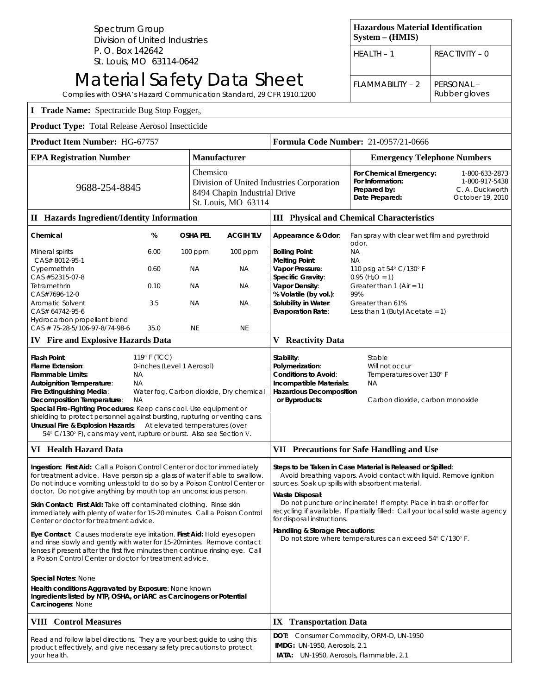Spectrum Group Division of United Industries P. O. Box 142642 St. Louis, MO 63114-0642

## Material Safety Data Sheet

| Complies with OSHA's Hazard Communication Standard, 29 CFR 1910.1200                                                                                                                                                                                                                                                                                                                                                                                                                                                                                                                                                                                                                                                                                                                                                                                                                          |                                     |                                        |                                                                 |                                                                                                                                                                                                                                                                                                                                                                                                                                                                                                 |                                                                                                                                                                                      | Rubber gloves                                                           |
|-----------------------------------------------------------------------------------------------------------------------------------------------------------------------------------------------------------------------------------------------------------------------------------------------------------------------------------------------------------------------------------------------------------------------------------------------------------------------------------------------------------------------------------------------------------------------------------------------------------------------------------------------------------------------------------------------------------------------------------------------------------------------------------------------------------------------------------------------------------------------------------------------|-------------------------------------|----------------------------------------|-----------------------------------------------------------------|-------------------------------------------------------------------------------------------------------------------------------------------------------------------------------------------------------------------------------------------------------------------------------------------------------------------------------------------------------------------------------------------------------------------------------------------------------------------------------------------------|--------------------------------------------------------------------------------------------------------------------------------------------------------------------------------------|-------------------------------------------------------------------------|
| <b>I</b> Trade Name: Spectracide Bug Stop Fogger <sub>5</sub>                                                                                                                                                                                                                                                                                                                                                                                                                                                                                                                                                                                                                                                                                                                                                                                                                                 |                                     |                                        |                                                                 |                                                                                                                                                                                                                                                                                                                                                                                                                                                                                                 |                                                                                                                                                                                      |                                                                         |
| Product Type: Total Release Aerosol Insecticide                                                                                                                                                                                                                                                                                                                                                                                                                                                                                                                                                                                                                                                                                                                                                                                                                                               |                                     |                                        |                                                                 |                                                                                                                                                                                                                                                                                                                                                                                                                                                                                                 |                                                                                                                                                                                      |                                                                         |
| Product Item Number: HG-67757                                                                                                                                                                                                                                                                                                                                                                                                                                                                                                                                                                                                                                                                                                                                                                                                                                                                 |                                     |                                        |                                                                 | Formula Code Number: 21-0957/21-0666                                                                                                                                                                                                                                                                                                                                                                                                                                                            |                                                                                                                                                                                      |                                                                         |
| <b>EPA Registration Number</b>                                                                                                                                                                                                                                                                                                                                                                                                                                                                                                                                                                                                                                                                                                                                                                                                                                                                |                                     | Manufacturer                           |                                                                 |                                                                                                                                                                                                                                                                                                                                                                                                                                                                                                 | <b>Emergency Telephone Numbers</b>                                                                                                                                                   |                                                                         |
| 9688-254-8845                                                                                                                                                                                                                                                                                                                                                                                                                                                                                                                                                                                                                                                                                                                                                                                                                                                                                 |                                     |                                        | Chemsico<br>8494 Chapin Industrial Drive<br>St. Louis, MO 63114 | Division of United Industries Corporation                                                                                                                                                                                                                                                                                                                                                                                                                                                       | For Chemical Emergency:<br>For Information:<br>Prepared by:<br>Date Prepared:                                                                                                        | 1-800-633-2873<br>1-800-917-5438<br>C. A. Duckworth<br>October 19, 2010 |
| <b>II</b> Hazards Ingredient/Identity Information                                                                                                                                                                                                                                                                                                                                                                                                                                                                                                                                                                                                                                                                                                                                                                                                                                             |                                     |                                        |                                                                 | <b>III</b> Physical and Chemical Characteristics                                                                                                                                                                                                                                                                                                                                                                                                                                                |                                                                                                                                                                                      |                                                                         |
| Chemical                                                                                                                                                                                                                                                                                                                                                                                                                                                                                                                                                                                                                                                                                                                                                                                                                                                                                      | %                                   | <b>OSHA PEL</b>                        | <b>ACGIHTLV</b>                                                 | Appearance & Odor:                                                                                                                                                                                                                                                                                                                                                                                                                                                                              | Fan spray with clear wet film and pyrethroid                                                                                                                                         |                                                                         |
| Mineral spirits<br>CAS# 8012-95-1<br>Cypermethrin<br>CAS #52315-07-8<br>Tetramethrin<br>CAS#7696-12-0<br>Aromatic Solvent<br>CAS# 64742-95-6<br>Hydrocarbon propellant blend<br>CAS # 75-28-5/106-97-8/74-98-6                                                                                                                                                                                                                                                                                                                                                                                                                                                                                                                                                                                                                                                                                | 6.00<br>0.60<br>0.10<br>3.5<br>35.0 | 100 ppm<br>ΝA<br>NА<br>ΝA<br><b>NE</b> | 100 ppm<br><b>NA</b><br><b>NA</b><br>ΝA<br><b>NE</b>            | <b>Boiling Point:</b><br><b>Melting Point:</b><br>Vapor Pressure:<br><b>Specific Gravity:</b><br>Vapor Density:<br>% Volatile (by vol.):<br>Solubility in Water:<br><b>Evaporation Rate:</b>                                                                                                                                                                                                                                                                                                    | odor.<br><b>NA</b><br>NА<br>110 psig at 54° C/130° F<br>$0.95$ (H <sub>2</sub> O = 1)<br>Greater than $1$ (Air = 1)<br>99%<br>Greater than 61%<br>Less than 1 (Butyl Acetate = $1$ ) |                                                                         |
| <b>IV</b> Fire and Explosive Hazards Data                                                                                                                                                                                                                                                                                                                                                                                                                                                                                                                                                                                                                                                                                                                                                                                                                                                     |                                     |                                        |                                                                 | <b>V</b> Reactivity Data                                                                                                                                                                                                                                                                                                                                                                                                                                                                        |                                                                                                                                                                                      |                                                                         |
| Flash Point:<br>119° F (TCC)<br>Flame Extension:<br>0-inches (Level 1 Aerosol)<br><b>Flammable Limits:</b><br>ΝA<br><b>Autoignition Temperature:</b><br>NА<br>Fire Extinguishing Media:<br>Water fog, Carbon dioxide, Dry chemical<br>Decomposition Temperature:<br>NA.<br>Special Fire-Fighting Procedures: Keep cans cool. Use equipment or<br>shielding to protect personnel against bursting, rupturing or venting cans.<br>Unusual Fire & Explosion Hazards: At elevated temperatures (over<br>54° C/130° F), cans may vent, rupture or burst. Also see Section V.                                                                                                                                                                                                                                                                                                                       |                                     |                                        |                                                                 | Stability:<br>Stable<br>Polymerization:<br>Will not occur<br>Temperatures over 130° F<br>Conditions to Avoid:<br>Incompatible Materials:<br>NА<br><b>Hazardous Decomposition</b><br>or Byproducts:<br>Carbon dioxide, carbon monoxide                                                                                                                                                                                                                                                           |                                                                                                                                                                                      |                                                                         |
| VI Health Hazard Data                                                                                                                                                                                                                                                                                                                                                                                                                                                                                                                                                                                                                                                                                                                                                                                                                                                                         |                                     |                                        |                                                                 | <b>VII</b> Precautions for Safe Handling and Use                                                                                                                                                                                                                                                                                                                                                                                                                                                |                                                                                                                                                                                      |                                                                         |
| Ingestion: First Aid: Call a Poison Control Center or doctor immediately<br>for treatment advice. Have person sip a glass of water if able to swallow.<br>Do not induce vomiting unless told to do so by a Poison Control Center or<br>doctor. Do not give anything by mouth top an unconscious person.<br><b>Skin Contact: First Aid:</b> Take off contaminated clothing. Rinse skin<br>immediately with plenty of water for 15-20 minutes. Call a Poison Control<br>Center or doctor for treatment advice.<br>Eye Contact: Causes moderate eye irritation. First Aid: Hold eyes open<br>and rinse slowly and gently with water for 15-20 mintes. Remove contact<br>lenses if present after the first five minutes then continue rinsing eye. Call<br>a Poison Control Center or doctor for treatment advice.<br>Special Notes: None<br>Health conditions Aggravated by Exposure: None known |                                     |                                        |                                                                 | Steps to be Taken in Case Material is Released or Spilled:<br>Avoid breathing vapors. Avoid contact with liquid. Remove ignition<br>sources. Soak up spills with absorbent material.<br>Waste Disposal:<br>Do not puncture or incinerate! If empty: Place in trash or offer for<br>recycling if available. If partially filled: Call your local solid waste agency<br>for disposal instructions.<br>Handling & Storage Precautions:<br>Do not store where temperatures can exceed 54° C/130° F. |                                                                                                                                                                                      |                                                                         |
| Ingredients listed by NTP, OSHA, or IARC as Carcinogens or Potential<br>Carcinogens: None                                                                                                                                                                                                                                                                                                                                                                                                                                                                                                                                                                                                                                                                                                                                                                                                     |                                     |                                        |                                                                 |                                                                                                                                                                                                                                                                                                                                                                                                                                                                                                 |                                                                                                                                                                                      |                                                                         |
| <b>VIII</b> Control Measures                                                                                                                                                                                                                                                                                                                                                                                                                                                                                                                                                                                                                                                                                                                                                                                                                                                                  |                                     |                                        |                                                                 | <b>IX</b> Transportation Data                                                                                                                                                                                                                                                                                                                                                                                                                                                                   |                                                                                                                                                                                      |                                                                         |
| Read and follow label directions. They are your best guide to using this<br>product effectively, and give necessary safety precautions to protect<br>your health.                                                                                                                                                                                                                                                                                                                                                                                                                                                                                                                                                                                                                                                                                                                             |                                     |                                        |                                                                 | DOT: Consumer Commodity, ORM-D, UN-1950<br><b>IMDG:</b> UN-1950, Aerosols, 2.1<br>IATA: UN-1950, Aerosols, Flammable, 2.1                                                                                                                                                                                                                                                                                                                                                                       |                                                                                                                                                                                      |                                                                         |

**Hazardous Material Identification** 

HEALTH – 1 REACTIVITY – 0

FLAMMABILITY – 2 PERSONAL –

**System – (HMIS)**